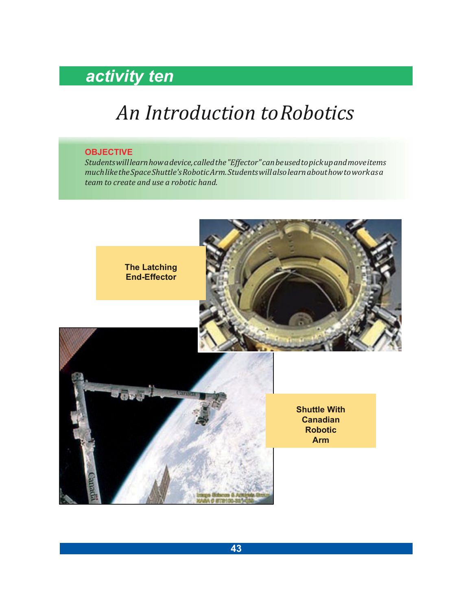## *activity ten*

# *An Introduction toRobotics*

### **OBJECTIVE**

*Studentswilllearnhowadevice,calledthe"Effector"canbeusedtopickupandmoveitems muchliketheSpaceShuttle'sRoboticArm.Studentswillalsolearnabouthowtoworkasa team to create and use a robotic hand.*

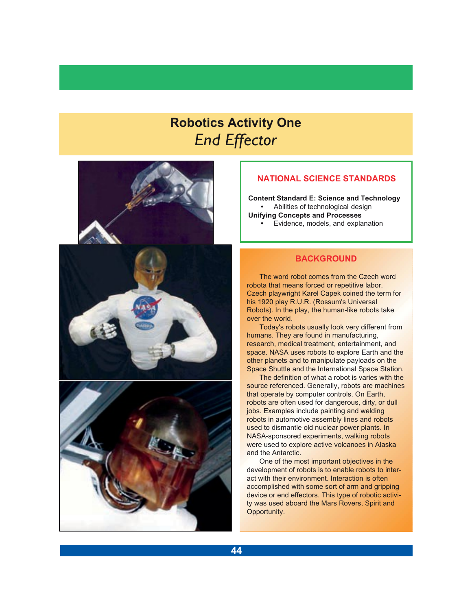## **Robotics Activity One** *End Effector*



## **NATIONAL SCIENCE STANDARDS**

**Content Standard E: Science and Technology •** Abilities of technological design **Unifying Concepts and Processes •** Evidence, models, and explanation

### **BACKGROUND**

The word robot comes from the Czech word robota that means forced or repetitive labor. Czech playwright Karel Capek coined the term for his 1920 play R.U.R. (Rossum's Universal Robots). In the play, the human-like robots take over the world.

Today's robots usually look very different from humans. They are found in manufacturing, research, medical treatment, entertainment, and space. NASA uses robots to explore Earth and the other planets and to manipulate payloads on the Space Shuttle and the International Space Station.

The definition of what a robot is varies with the source referenced. Generally, robots are machines that operate by computer controls. On Earth, robots are often used for dangerous, dirty, or dull jobs. Examples include painting and welding robots in automotive assembly lines and robots used to dismantle old nuclear power plants. In NASA-sponsored experiments, walking robots were used to explore active volcanoes in Alaska and the Antarctic.

One of the most important objectives in the development of robots is to enable robots to interact with their environment. Interaction is often accomplished with some sort of arm and gripping device or end effectors. This type of robotic activity was used aboard the Mars Rovers, Spirit and Opportunity.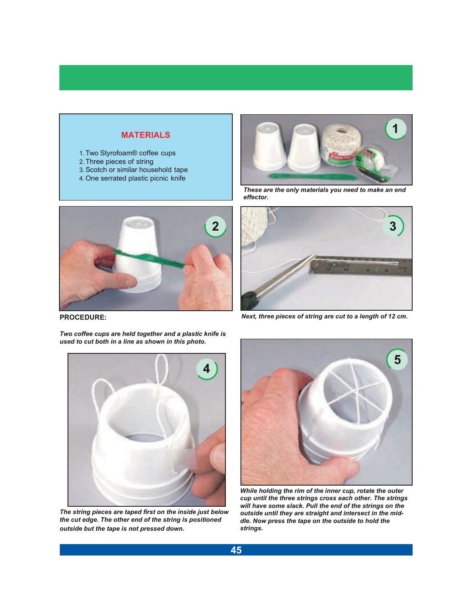- 1.Two Styrofoam® coffee cups
- 2.Three pieces of string
- 3.Scotch or similar household tape
- 4.One serrated plastic picnic knife





*These are the only materials you need to make an end effector.*



*Next, three pieces of string are cut to a length of 12 cm.*

**PROCEDURE:**

*Two coffee cups are held together and a plastic knife is used to cut both in a line as shown in this photo.*



*The string pieces are taped first on the inside just below the cut edge. The other end of the string is positioned outside but the tape is not pressed down.*



*While holding the rim of the inner cup, rotate the outer cup until the three strings cross each other. The strings will have some slack. Pull the end of the strings on the outside until they are straight and intersect in the middle. Now press the tape on the outside to hold the strings.*